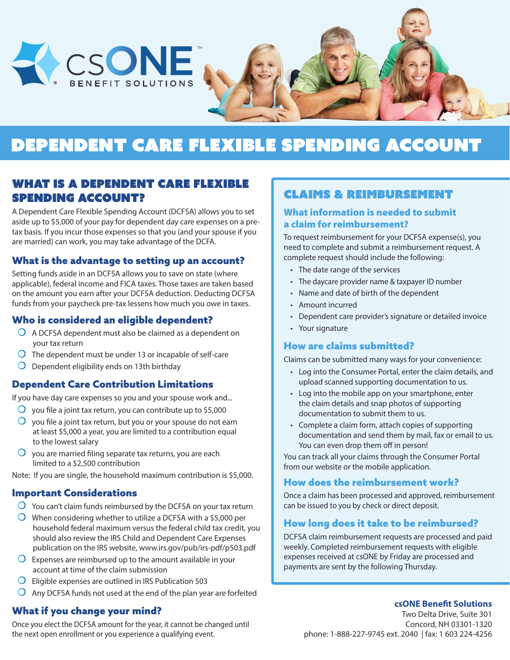

# Dependent Care Flexible Spending Account

### What is a Dependent Care Flexible Spending Account?

A Dependent Care Flexible Spending Account (DCFSA) allows you to set aside up to \$5,000 of your pay for dependent day care expenses on a pretax basis. If you incur those expenses so that you (and your spouse if you are married) can work, you may take advantage of the DCFA.

#### What is the advantage to setting up an account?

Setting funds aside in an DCFSA allows you to save on state (where applicable), federal income and FICA taxes. Those taxes are taken based on the amount you earn after your DCFSA deduction. Deducting DCFSA funds from your paycheck pre-tax lessens how much you owe in taxes.

#### Who is considered an eligible dependent?

- $\overline{O}$  A DCFSA dependent must also be claimed as a dependent on your tax return
- $\overline{O}$  The dependent must be under 13 or incapable of self-care
- $\bigcirc$  Dependent eligibility ends on 13th birthday

#### Dependent Care Contribution Limitations

If you have day care expenses so you and your spouse work and...

- $\overline{O}$  you file a joint tax return, you can contribute up to \$5,000
- $\Omega$ you file a joint tax return, but you or your spouse do not earn at least \$5,000 a year, you are limited to a contribution equal to the lowest salary
- $\overline{O}$  vou are married filing separate tax returns, you are each limited to a \$2,500 contribution

Note: If you are single, the household maximum contribution is \$5,000.

#### Important Considerations

- $\bigcirc$  You can't claim funds reimbursed by the DCFSA on your tax return
- $\overline{O}$  When considering whether to utilize a DCFSA with a \$5,000 per household federal maximum versus the federal child tax credit, you should also review the IRS Child and Dependent Care Expenses publication on the IRS website, www.irs.gov/pub/irs-pdf/p503.pdf
- $\overline{O}$  Expenses are reimbursed up to the amount available in your account at time of the claim submission
- $\Omega$ Eligible expenses are outlined in IRS Publication 503
- $\overline{O}$  Any DCFSA funds not used at the end of the plan year are forfeited

### What if you change your mind?

Once you elect the DCFSA amount for the year, it cannot be changed until the next open enrollment or you experience a qualifying event.

### Claims & Reimbursement

#### What information is needed to submit a claim for reimbursement?

To request reimbursement for your DCFSA expense(s), you need to complete and submit a reimbursement request. A complete request should include the following:

- The date range of the services
- The daycare provider name & taxpayer ID number
- Name and date of birth of the dependent
- Amount incurred
- Dependent care provider's signature or detailed invoice
- Your signature

#### How are claims submitted?

Claims can be submitted many ways for your convenience:

- Log into the Consumer Portal, enter the claim details, and upload scanned supporting documentation to us.
- Log into the mobile app on your smartphone, enter the claim details and snap photos of supporting documentation to submit them to us.
- Complete a claim form, attach copies of supporting documentation and send them by mail, fax or email to us. You can even drop them off in person!

You can track all your claims through the Consumer Portal from our website or the mobile application.

#### How does the reimbursement work?

Once a claim has been processed and approved, reimbursement can be issued to you by check or direct deposit.

#### How long does it take to be reimbursed?

DCFSA claim reimbursement requests are processed and paid weekly. Completed reimbursement requests with eligible expenses received at csONE by Friday are processed and payments are sent by the following Thursday.

#### **csONE Benefit Solutions**

Two Delta Drive, Suite 301 Concord, NH 03301-1320 phone: 1-888-227-9745 ext. 2040 | fax: 1 603 224-4256